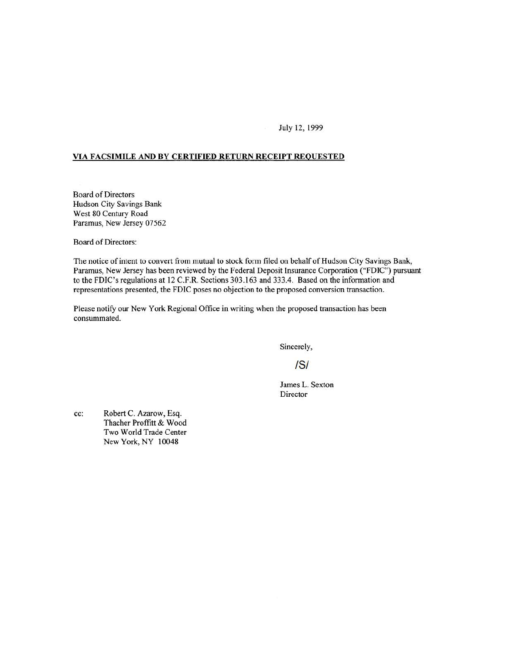July 12, 1999

#### **VIA FACSIMILE AND BY CERTIFIED RETURN RECEIPT REQUESTED**

Board of Directors Hudson City Savings Bank West 80 Century Road Paramus, New Jersey 07562

Board of Directors:

The notice of intent to convert from mutual to stock form filed on behalf of Hudson City Savings Bank, Paramus, New Jersey has been reviewed by the Federal Deposit Insurance Corporation ("FDIC") pursuant to the FDIC's regulations at 12 C.F.R. Sections 303.163 and 333.4. Based on the information and representations presented, the FDIC poses no objection to the proposed conversion transaction.

Please notify our New York Regional Office in writing when the proposed transaction has been consummated.

Sincerely,

IS/

James L. Sexton Director

cc: Robert C. Azarow, Esq. Thacher Proffitt & Wood Two World Trade Center New York, NY 10048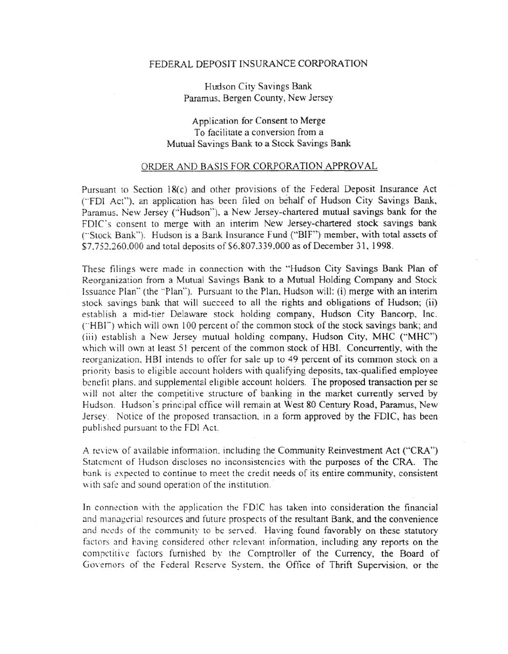#### FEDERAL DEPOSIT INSURANCE CORPORATION

Hudson City Savings Bank Paramus. Bergen County, New Jersey

## Application for Consent to Merge To facilitate a conversion from a Mutual Savings Bank to a Stock Savings Bank

### ORDER AND BASIS FOR CORPORATION APPROVAL

Pursuant to Section 18(c) and other provisions of the Federal Deposit Insurance Act ("FDI Act"), an application has been filed on behalf of Hudson City Savings Bank, Paramus. New Jersey ("'Hudson''). a New Jersey-chartered mutual savings bank for the FDIC's consent to merge with an interim New Jersey-chartered stock savings bank ("Stock Bank"). Hudson is a Bank Insurance Fund ("BIF") member, with total assets of \$7,752,260,000 and total deposits of \$6.807,339,000 as of December 31, 1998.

These filings were made in connection with the '"Hudson City Savings Bank Plan of Reorganization from a Mutual Savings Bank to a Mutual Holding Company and Stock Issuance Plan" (the "Plan"). Pursuant to the Plan, Hudson will: (i) merge with an interim stock savings bank that will succeed to all the rights and obligations of Hudson; (ii) establish a mid-tier Delaware stock holding company, Hudson City Bancorp, Inc. ("HBI") which will own 100 percent of the common stock of the stock savings bank; and (iii) establish a New Jersey mutual holding company, Hudson City, MHC (''MHC") which will own at least 51 percent of the common stock of HBI. Concurrently, with the reorganization. HBI intends to offer for sale up to 49 percent of its common stock on a priority basis to eligible account holders with qualifying deposits, tax-qualified employee benefit plans, and supplemental eligible account holders. The proposed transaction per se will not alter the competitive structure of banking in the market currently served by Hudson. Hudson's principal office will remain at West 80 Century Road, Paramus, New Jersey. Notice of the proposed transaction, in a form approved by the FDIC, has been published pursuant to the FDI Act.

A review of available information, including the Community Reinvestment Act ("CRA") Statement of Hudson discloses no inconsistencies with the purposes of the CRA. The bank is expected to continue to meet the credit needs of its entire community, consistent with safe and sound operation of the institution.

In connection with the application the FDIC has taken into consideration the financial and managerial resources and future prospects of the resultant Bank, and the convenience and needs of the community to be served. Having found favorably on these statutory factors and having considered other relevant information, including any reports on the competitive factors furnished by the Comptroller of the Currency, the Board of Governors of the Federal Reserve System, the Office of Thrift Supervision, or the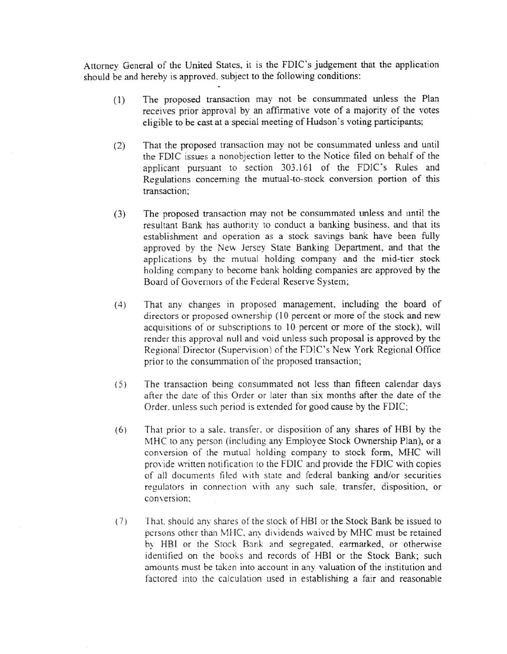Attorney General of the United States, it is the FDIC's judgement that the application should be and hereby is approved. subject to the following conditions:

- ( 1) The proposed transaction may not be consummated unless the Plan receives prior approval by an affinnative vote of a majority of the votes eligible to be cast at a special meeting of Hudson's voting participants;
- (2) That the proposed transaction may not be consummated unless and until the FDIC issues a nonobjection letter to the Notice filed on behalf of the applicant pursuant to section 303.161 of the FDIC's Rules and Regulations concerning the murual-to-steck conversion portion of this transaction;
- (3) The proposed transaction may not be consummated unless and until the resultant Bank has authority to conduct a banking business. and that its establishment and operation as a stock savings bank have been fully approved by the New Jersey State Banking Department. and that the applications by the mutual holding company and the mid-tier stock holding company to become bank holding companies are approved by the Board of Governors of the Federal Reserve System;
- ( 4) That any changes in proposed management, including the board of directors or proposed ownership (10 percent or more of the stock and new acquisitions of or subscriptions to 10 percent or more of the stock), will render this approval null and void unless such proposal is approved by the Regional' Director (Supervision) of the FDIC's New York Regional Office prior to the consummation of the proposed transaction;
- ( 5) The transaction being consummated not less than fifteen calendar days after the date of this Order or later than six months after the date of the Order. unless such period is extended for good cause by the FDIC;
- ( 6) That prior to a sale. transfer. or disposition of any shares of HBl by the MHC to any person (including any Employee Stock Ownership Plan), or a conversion of the mutual holding company to stock form, MHC will provide written notification to the FDIC and provide the FDIC with copies of all documents filed with state and federal banking and/or securities regulators in connection with any such sale, transfer, disposition, or conversion:
- (7) That, should any shares of the stock of HBI or the Stock Bank be issued to persons other than MHC. any dividends waived by MHC must be retained by HBI or the Stock Bank and segregated, earmarked, or otherwise identified on the books and records of HBI or the Stock Bank; such amounts must be taken into account in any valuation of the institution and factored into the calculation used in establishing a fair and reasonable